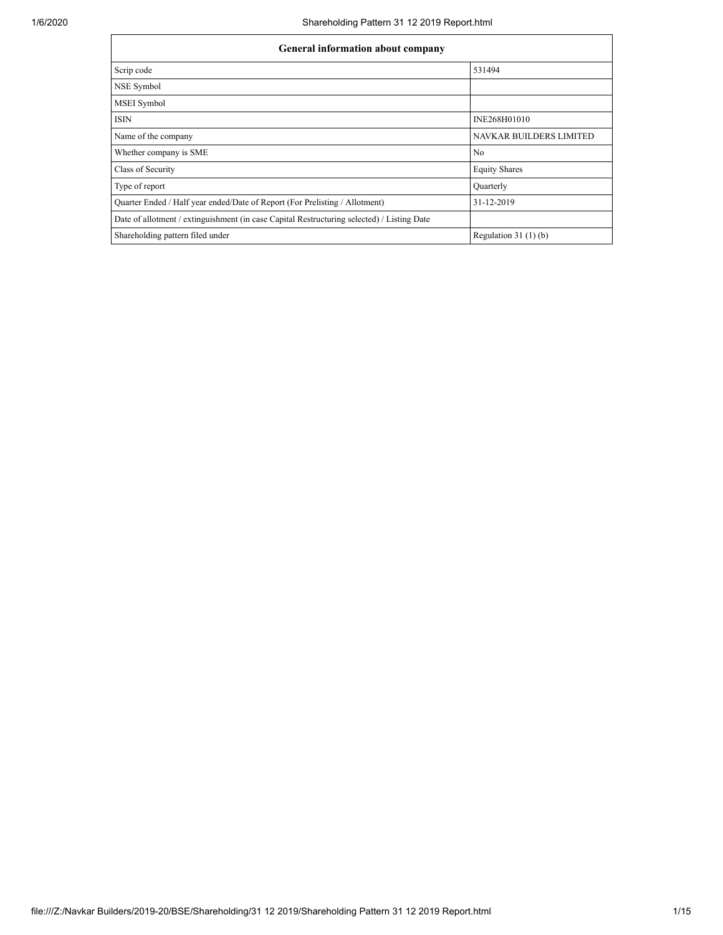| <b>General information about company</b>                                                   |                         |  |  |  |  |  |  |
|--------------------------------------------------------------------------------------------|-------------------------|--|--|--|--|--|--|
| Scrip code                                                                                 | 531494                  |  |  |  |  |  |  |
| NSE Symbol                                                                                 |                         |  |  |  |  |  |  |
| MSEI Symbol                                                                                |                         |  |  |  |  |  |  |
| <b>ISIN</b>                                                                                | INE268H01010            |  |  |  |  |  |  |
| Name of the company                                                                        | NAVKAR BUILDERS LIMITED |  |  |  |  |  |  |
| Whether company is SME                                                                     | N <sub>0</sub>          |  |  |  |  |  |  |
| Class of Security                                                                          | <b>Equity Shares</b>    |  |  |  |  |  |  |
| Type of report                                                                             | Quarterly               |  |  |  |  |  |  |
| Quarter Ended / Half year ended/Date of Report (For Prelisting / Allotment)                | 31-12-2019              |  |  |  |  |  |  |
| Date of allotment / extinguishment (in case Capital Restructuring selected) / Listing Date |                         |  |  |  |  |  |  |
| Shareholding pattern filed under                                                           | Regulation $31(1)(b)$   |  |  |  |  |  |  |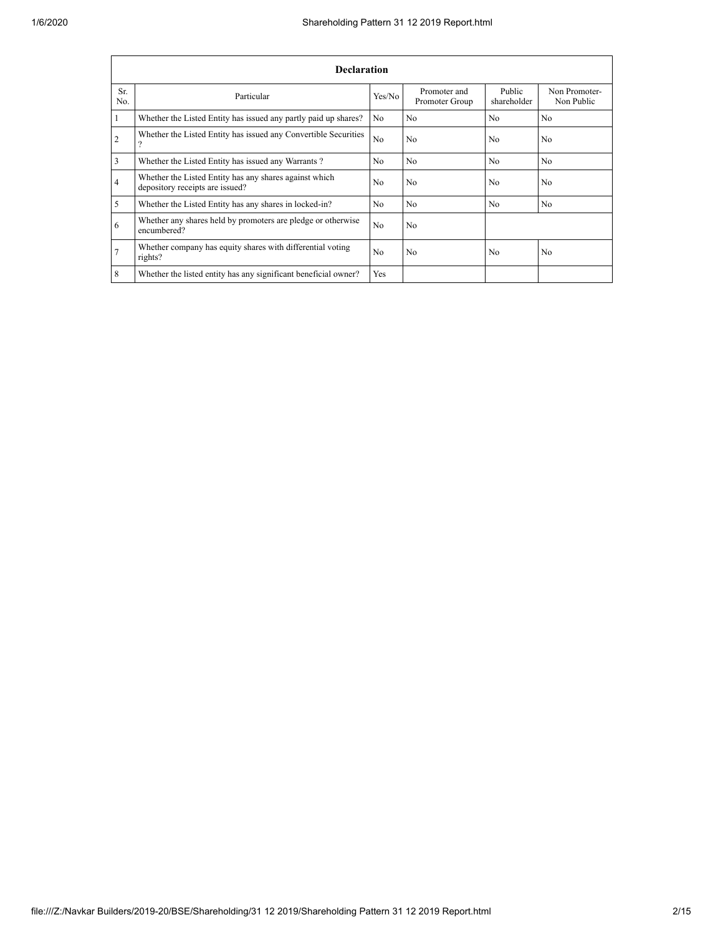|                 | <b>Declaration</b>                                                                        |                |                                |                       |                             |  |  |  |  |
|-----------------|-------------------------------------------------------------------------------------------|----------------|--------------------------------|-----------------------|-----------------------------|--|--|--|--|
| Sr.<br>No.      | Particular                                                                                | Yes/No         | Promoter and<br>Promoter Group | Public<br>shareholder | Non Promoter-<br>Non Public |  |  |  |  |
| 1               | Whether the Listed Entity has issued any partly paid up shares?                           | No.            | N <sub>0</sub>                 | N <sub>0</sub>        | N <sub>0</sub>              |  |  |  |  |
| $\overline{2}$  | Whether the Listed Entity has issued any Convertible Securities<br>$\mathcal{P}$          | N <sub>0</sub> | N <sub>0</sub>                 | N <sub>0</sub>        | N <sub>0</sub>              |  |  |  |  |
| 3               | Whether the Listed Entity has issued any Warrants?                                        | N <sub>0</sub> | N <sub>0</sub>                 | N <sub>0</sub>        | N <sub>0</sub>              |  |  |  |  |
| $\overline{4}$  | Whether the Listed Entity has any shares against which<br>depository receipts are issued? | N <sub>0</sub> | N <sub>0</sub>                 | N <sub>0</sub>        | N <sub>0</sub>              |  |  |  |  |
| 5               | Whether the Listed Entity has any shares in locked-in?                                    | N <sub>0</sub> | N <sub>0</sub>                 | N <sub>0</sub>        | N <sub>0</sub>              |  |  |  |  |
| 6               | Whether any shares held by promoters are pledge or otherwise<br>encumbered?               | No             | N <sub>0</sub>                 |                       |                             |  |  |  |  |
| $7\phantom{.0}$ | Whether company has equity shares with differential voting<br>rights?                     | N <sub>0</sub> | N <sub>0</sub>                 | N <sub>0</sub>        | N <sub>0</sub>              |  |  |  |  |
| 8               | Whether the listed entity has any significant beneficial owner?                           | Yes            |                                |                       |                             |  |  |  |  |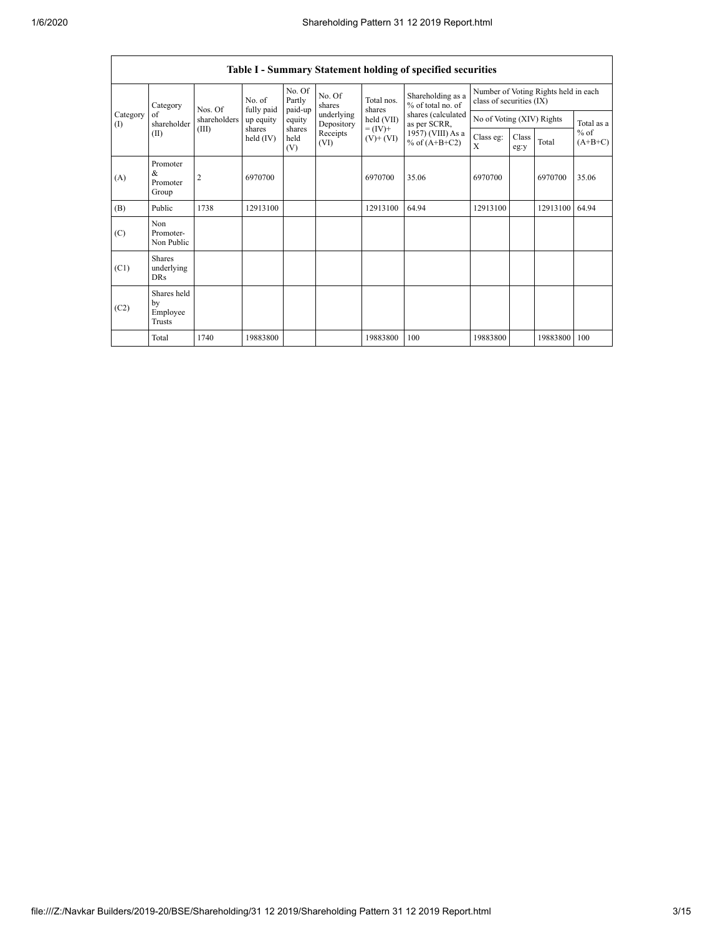|                                           | Table I - Summary Statement holding of specified securities |                   |                       |                             |                          |                              |                                        |                                                                  |               |          |                                   |
|-------------------------------------------|-------------------------------------------------------------|-------------------|-----------------------|-----------------------------|--------------------------|------------------------------|----------------------------------------|------------------------------------------------------------------|---------------|----------|-----------------------------------|
| Category<br>Category<br>of<br>(1)<br>(II) |                                                             | No. of<br>Nos. Of | fully paid            | No. Of<br>Partly<br>paid-up | No. Of<br>shares         | Total nos.<br>shares         | Shareholding as a<br>% of total no. of | Number of Voting Rights held in each<br>class of securities (IX) |               |          |                                   |
|                                           | shareholder                                                 | shareholders      | up equity             | equity                      | underlying<br>Depository | held (VII)                   | shares (calculated<br>as per SCRR,     | No of Voting (XIV) Rights                                        |               |          | Total as a<br>$%$ of<br>$(A+B+C)$ |
|                                           |                                                             | (III)             | shares<br>held $(IV)$ | shares<br>held<br>(V)       | Receipts<br>(VI)         | $= (IV) +$<br>$(V)$ + $(VI)$ | 1957) (VIII) As a<br>% of $(A+B+C2)$   | Class eg:<br>$\mathbf{x}$                                        | Class<br>eg:y | Total    |                                   |
| (A)                                       | Promoter<br>$\&$<br>Promoter<br>Group                       | $\overline{2}$    | 6970700               |                             |                          | 6970700                      | 35.06                                  | 6970700                                                          |               | 6970700  | 35.06                             |
| (B)                                       | Public                                                      | 1738              | 12913100              |                             |                          | 12913100                     | 64.94                                  | 12913100                                                         |               | 12913100 | 64.94                             |
| (C)                                       | Non<br>Promoter-<br>Non Public                              |                   |                       |                             |                          |                              |                                        |                                                                  |               |          |                                   |
| (C1)                                      | <b>Shares</b><br>underlying<br><b>DRs</b>                   |                   |                       |                             |                          |                              |                                        |                                                                  |               |          |                                   |
| (C2)                                      | Shares held<br>by<br>Employee<br>Trusts                     |                   |                       |                             |                          |                              |                                        |                                                                  |               |          |                                   |
|                                           | Total                                                       | 1740              | 19883800              |                             |                          | 19883800                     | 100                                    | 19883800                                                         |               | 19883800 | 100                               |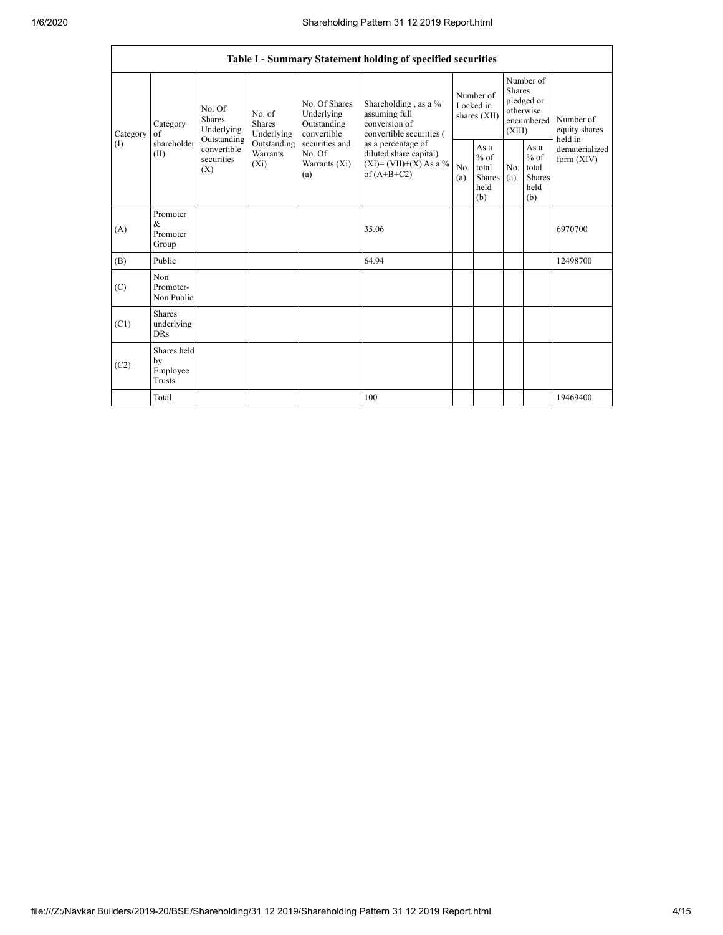|                 | Table I - Summary Statement holding of specified securities |                                                                                          |                                           |                                                                                                               |                                                                                            |            |                                                         |            |                                                                               |                                       |
|-----------------|-------------------------------------------------------------|------------------------------------------------------------------------------------------|-------------------------------------------|---------------------------------------------------------------------------------------------------------------|--------------------------------------------------------------------------------------------|------------|---------------------------------------------------------|------------|-------------------------------------------------------------------------------|---------------------------------------|
| Category<br>(1) | Category<br>of<br>shareholder<br>(II)                       | No. Of<br><b>Shares</b><br>Underlying<br>Outstanding<br>convertible<br>securities<br>(X) | No. of<br><b>Shares</b><br>Underlying     | No. Of Shares<br>Underlying<br>Outstanding<br>convertible<br>securities and<br>No. Of<br>Warrants (Xi)<br>(a) | Shareholding, as a %<br>assuming full<br>conversion of<br>convertible securities (         |            | Number of<br>Locked in<br>shares $(XII)$                |            | Number of<br><b>Shares</b><br>pledged or<br>otherwise<br>encumbered<br>(XIII) | Number of<br>equity shares<br>held in |
|                 |                                                             |                                                                                          | Outstanding<br><b>Warrants</b><br>$(X_i)$ |                                                                                                               | as a percentage of<br>diluted share capital)<br>$(XI) = (VII)+(X) As a %$<br>of $(A+B+C2)$ | No.<br>(a) | As a<br>$%$ of<br>total<br><b>Shares</b><br>held<br>(b) | No.<br>(a) | As a<br>$%$ of<br>total<br><b>Shares</b><br>held<br>(b)                       | dematerialized<br>form $(XIV)$        |
| (A)             | Promoter<br>&<br>Promoter<br>Group                          |                                                                                          |                                           |                                                                                                               | 35.06                                                                                      |            |                                                         |            |                                                                               | 6970700                               |
| (B)             | Public                                                      |                                                                                          |                                           |                                                                                                               | 64.94                                                                                      |            |                                                         |            |                                                                               | 12498700                              |
| (C)             | Non<br>Promoter-<br>Non Public                              |                                                                                          |                                           |                                                                                                               |                                                                                            |            |                                                         |            |                                                                               |                                       |
| (C1)            | <b>Shares</b><br>underlying<br><b>DRs</b>                   |                                                                                          |                                           |                                                                                                               |                                                                                            |            |                                                         |            |                                                                               |                                       |
| (C2)            | Shares held<br>by<br>Employee<br><b>Trusts</b>              |                                                                                          |                                           |                                                                                                               |                                                                                            |            |                                                         |            |                                                                               |                                       |
|                 | Total                                                       |                                                                                          |                                           |                                                                                                               | 100                                                                                        |            |                                                         |            |                                                                               | 19469400                              |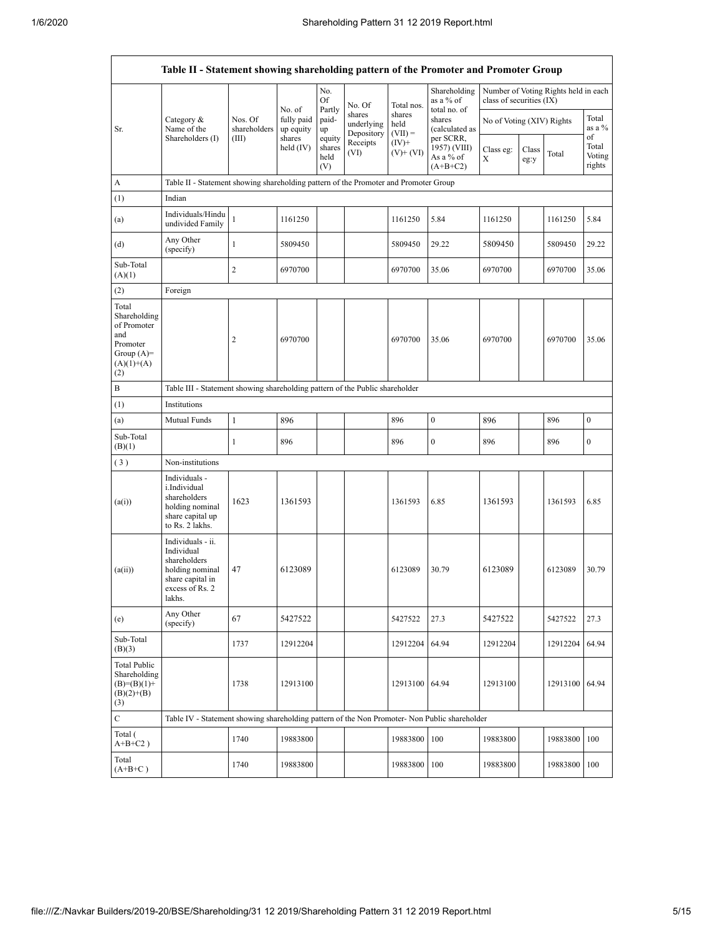| Table II - Statement showing shareholding pattern of the Promoter and Promoter Group           |                                                                                                                     |                         |                         |                                 |                                    |                             |                                                                       |                           |               |                                      |                                 |
|------------------------------------------------------------------------------------------------|---------------------------------------------------------------------------------------------------------------------|-------------------------|-------------------------|---------------------------------|------------------------------------|-----------------------------|-----------------------------------------------------------------------|---------------------------|---------------|--------------------------------------|---------------------------------|
|                                                                                                |                                                                                                                     |                         | No. of                  | No.<br><b>Of</b>                | No. Of                             | Total nos.                  | Shareholding<br>as a % of<br>total no. of<br>shares<br>(calculated as | class of securities (IX)  |               | Number of Voting Rights held in each |                                 |
| Sr.                                                                                            | Category &<br>Name of the                                                                                           | Nos. Of<br>shareholders | fully paid<br>up equity | Partly<br>paid-<br>up           | shares<br>underlying<br>Depository | shares<br>held<br>$(VII) =$ |                                                                       | No of Voting (XIV) Rights |               |                                      | Total<br>as a %                 |
|                                                                                                | Shareholders (I)                                                                                                    | (III)                   | shares<br>held $(IV)$   | equity<br>shares<br>held<br>(V) | Receipts<br>(VI)                   | $(IV)$ +<br>$(V)$ + $(VI)$  | per SCRR,<br>1957) (VIII)<br>As a % of<br>$(A+B+C2)$                  | Class eg:<br>X            | Class<br>eg:y | Total                                | of<br>Total<br>Voting<br>rights |
| A                                                                                              | Table II - Statement showing shareholding pattern of the Promoter and Promoter Group                                |                         |                         |                                 |                                    |                             |                                                                       |                           |               |                                      |                                 |
| (1)                                                                                            | Indian                                                                                                              |                         |                         |                                 |                                    |                             |                                                                       |                           |               |                                      |                                 |
| (a)                                                                                            | Individuals/Hindu<br>undivided Family                                                                               | $\mathbf{1}$            | 1161250                 |                                 |                                    | 1161250                     | 5.84                                                                  | 1161250                   |               | 1161250                              | 5.84                            |
| (d)                                                                                            | Any Other<br>(specify)                                                                                              | $\mathbf{1}$            | 5809450                 |                                 |                                    | 5809450                     | 29.22                                                                 | 5809450                   |               | 5809450                              | 29.22                           |
| Sub-Total<br>(A)(1)                                                                            |                                                                                                                     | $\overline{c}$          | 6970700                 |                                 |                                    | 6970700                     | 35.06                                                                 | 6970700                   |               | 6970700                              | 35.06                           |
| (2)                                                                                            | Foreign                                                                                                             |                         |                         |                                 |                                    |                             |                                                                       |                           |               |                                      |                                 |
| Total<br>Shareholding<br>of Promoter<br>and<br>Promoter<br>Group $(A)=$<br>$(A)(1)+(A)$<br>(2) |                                                                                                                     | $\overline{2}$          | 6970700                 |                                 |                                    | 6970700                     | 35.06                                                                 | 6970700                   |               | 6970700                              | 35.06                           |
| B                                                                                              | Table III - Statement showing shareholding pattern of the Public shareholder                                        |                         |                         |                                 |                                    |                             |                                                                       |                           |               |                                      |                                 |
| (1)                                                                                            | Institutions                                                                                                        |                         |                         |                                 |                                    |                             |                                                                       |                           |               |                                      |                                 |
| (a)                                                                                            | Mutual Funds                                                                                                        | $\mathbf{1}$            | 896                     |                                 |                                    | 896                         | $\boldsymbol{0}$                                                      | 896                       |               | 896                                  | $\boldsymbol{0}$                |
| Sub-Total<br>(B)(1)                                                                            |                                                                                                                     | $\mathbf{1}$            | 896                     |                                 |                                    | 896                         | $\boldsymbol{0}$                                                      | 896                       |               | 896                                  | $\boldsymbol{0}$                |
| (3)                                                                                            | Non-institutions                                                                                                    |                         |                         |                                 |                                    |                             |                                                                       |                           |               |                                      |                                 |
| (a(i))                                                                                         | Individuals -<br>i.Individual<br>shareholders<br>holding nominal<br>share capital up<br>to Rs. 2 lakhs.             | 1623                    | 1361593                 |                                 |                                    | 1361593                     | 6.85                                                                  | 1361593                   |               | 1361593                              | 6.85                            |
| (a(ii))                                                                                        | Individuals - ii.<br>Individual<br>shareholders<br>holding nominal<br>share capital in<br>excess of Rs. 2<br>lakhs. | 47                      | 6123089                 |                                 |                                    | 6123089                     | 30.79                                                                 | 6123089                   |               | 6123089                              | 30.79                           |
| (e)                                                                                            | Any Other<br>(specify)                                                                                              | 67                      | 5427522                 |                                 |                                    | 5427522                     | 27.3                                                                  | 5427522                   |               | 5427522                              | 27.3                            |
| Sub-Total<br>(B)(3)                                                                            |                                                                                                                     | 1737                    | 12912204                |                                 |                                    | 12912204                    | 64.94                                                                 | 12912204                  |               | 12912204                             | 64.94                           |
| <b>Total Public</b><br>Shareholding<br>$(B)= (B)(1) +$<br>$(B)(2)+(B)$<br>(3)                  |                                                                                                                     | 1738                    | 12913100                |                                 |                                    | 12913100 64.94              |                                                                       | 12913100                  |               | 12913100                             | 64.94                           |
| $\mathbf C$                                                                                    | Table IV - Statement showing shareholding pattern of the Non Promoter- Non Public shareholder                       |                         |                         |                                 |                                    |                             |                                                                       |                           |               |                                      |                                 |
| Total (<br>$A+B+C2$ )                                                                          |                                                                                                                     | 1740                    | 19883800                |                                 |                                    | 19883800                    | 100                                                                   | 19883800                  |               | 19883800                             | 100                             |
| Total<br>$(A+B+C)$                                                                             |                                                                                                                     | 1740                    | 19883800                |                                 |                                    | 19883800                    | 100                                                                   | 19883800                  |               | 19883800                             | 100                             |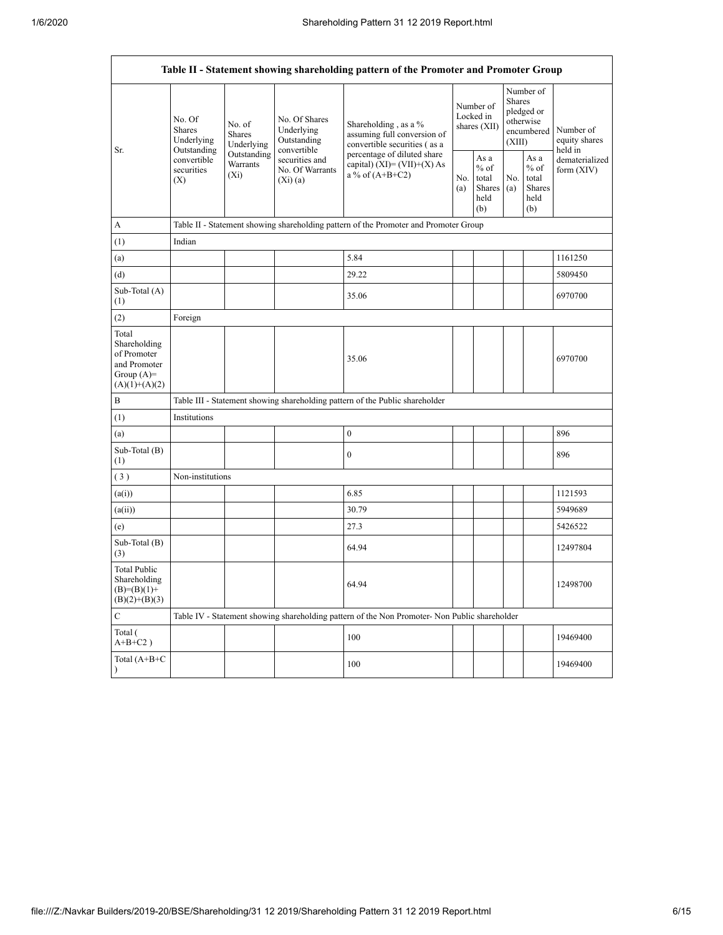| Table II - Statement showing shareholding pattern of the Promoter and Promoter Group    |                                                                                                                                                                         |                                                           |                                                                                     |                                                                                               |                                        |                                                  |                                                                               |                                                         |                                |
|-----------------------------------------------------------------------------------------|-------------------------------------------------------------------------------------------------------------------------------------------------------------------------|-----------------------------------------------------------|-------------------------------------------------------------------------------------|-----------------------------------------------------------------------------------------------|----------------------------------------|--------------------------------------------------|-------------------------------------------------------------------------------|---------------------------------------------------------|--------------------------------|
| Sr.                                                                                     | No. Of<br>No. of<br><b>Shares</b><br><b>Shares</b><br>Underlying<br>Underlying<br>Outstanding<br>Outstanding<br>convertible<br>Warrants<br>securities<br>$(X_i)$<br>(X) | No. Of Shares<br>Underlying<br>Outstanding<br>convertible | Shareholding, as a %<br>assuming full conversion of<br>convertible securities (as a |                                                                                               | Number of<br>Locked in<br>shares (XII) |                                                  | Number of<br><b>Shares</b><br>pledged or<br>otherwise<br>encumbered<br>(XIII) | Number of<br>equity shares<br>held in                   |                                |
|                                                                                         |                                                                                                                                                                         |                                                           | securities and<br>No. Of Warrants<br>(Xi)(a)                                        | percentage of diluted share<br>capital) (XI)= $(VII)+(X)$ As<br>a % of $(A+B+C2)$             | No.<br>(a)                             | As a<br>$%$ of<br>total<br>Shares<br>held<br>(b) | No.<br>(a)                                                                    | As a<br>$%$ of<br>total<br><b>Shares</b><br>held<br>(b) | dematerialized<br>form $(XIV)$ |
| A                                                                                       |                                                                                                                                                                         |                                                           |                                                                                     | Table II - Statement showing shareholding pattern of the Promoter and Promoter Group          |                                        |                                                  |                                                                               |                                                         |                                |
| (1)                                                                                     | Indian                                                                                                                                                                  |                                                           |                                                                                     |                                                                                               |                                        |                                                  |                                                                               |                                                         |                                |
| (a)                                                                                     |                                                                                                                                                                         |                                                           |                                                                                     | 5.84                                                                                          |                                        |                                                  |                                                                               |                                                         | 1161250                        |
| (d)                                                                                     |                                                                                                                                                                         |                                                           |                                                                                     | 29.22                                                                                         |                                        |                                                  |                                                                               |                                                         | 5809450                        |
| Sub-Total (A)<br>(1)                                                                    |                                                                                                                                                                         |                                                           |                                                                                     | 35.06                                                                                         |                                        |                                                  |                                                                               |                                                         | 6970700                        |
| (2)                                                                                     | Foreign                                                                                                                                                                 |                                                           |                                                                                     |                                                                                               |                                        |                                                  |                                                                               |                                                         |                                |
| Total<br>Shareholding<br>of Promoter<br>and Promoter<br>Group $(A)=$<br>$(A)(1)+(A)(2)$ |                                                                                                                                                                         |                                                           |                                                                                     | 35.06                                                                                         |                                        |                                                  |                                                                               |                                                         | 6970700                        |
| B                                                                                       |                                                                                                                                                                         |                                                           |                                                                                     | Table III - Statement showing shareholding pattern of the Public shareholder                  |                                        |                                                  |                                                                               |                                                         |                                |
| (1)                                                                                     | Institutions                                                                                                                                                            |                                                           |                                                                                     |                                                                                               |                                        |                                                  |                                                                               |                                                         |                                |
| (a)                                                                                     |                                                                                                                                                                         |                                                           |                                                                                     | $\mathbf{0}$                                                                                  |                                        |                                                  |                                                                               |                                                         | 896                            |
| Sub-Total (B)<br>(1)                                                                    |                                                                                                                                                                         |                                                           |                                                                                     | $\boldsymbol{0}$                                                                              |                                        |                                                  |                                                                               |                                                         | 896                            |
| (3)                                                                                     | Non-institutions                                                                                                                                                        |                                                           |                                                                                     |                                                                                               |                                        |                                                  |                                                                               |                                                         |                                |
| (a(i))                                                                                  |                                                                                                                                                                         |                                                           |                                                                                     | 6.85                                                                                          |                                        |                                                  |                                                                               |                                                         | 1121593                        |
| (a(ii))                                                                                 |                                                                                                                                                                         |                                                           |                                                                                     | 30.79                                                                                         |                                        |                                                  |                                                                               |                                                         | 5949689                        |
| (e)                                                                                     |                                                                                                                                                                         |                                                           |                                                                                     | 27.3                                                                                          |                                        |                                                  |                                                                               |                                                         | 5426522                        |
| Sub-Total (B)<br>(3)                                                                    |                                                                                                                                                                         |                                                           |                                                                                     | 64.94                                                                                         |                                        |                                                  |                                                                               |                                                         | 12497804                       |
| <b>Total Public</b><br>Shareholding<br>$(B)= (B)(1) +$<br>$(B)(2)+(B)(3)$               |                                                                                                                                                                         |                                                           |                                                                                     | 64.94                                                                                         |                                        |                                                  |                                                                               |                                                         | 12498700                       |
| $\mathbf C$                                                                             |                                                                                                                                                                         |                                                           |                                                                                     | Table IV - Statement showing shareholding pattern of the Non Promoter- Non Public shareholder |                                        |                                                  |                                                                               |                                                         |                                |
| Total (<br>$A+B+C2$ )                                                                   |                                                                                                                                                                         |                                                           |                                                                                     | 100                                                                                           |                                        |                                                  |                                                                               |                                                         | 19469400                       |
| Total $(A+B+C)$<br>$\lambda$                                                            |                                                                                                                                                                         |                                                           |                                                                                     | 100                                                                                           |                                        |                                                  |                                                                               |                                                         | 19469400                       |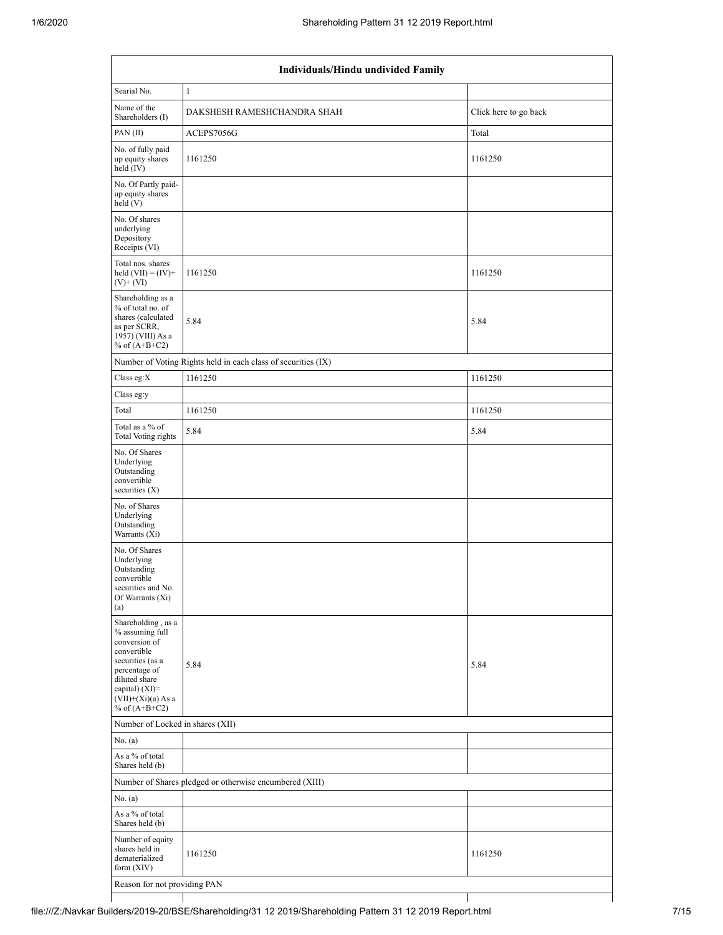| Individuals/Hindu undivided Family                                                                                                                                                          |                                                               |                       |  |  |  |  |  |  |
|---------------------------------------------------------------------------------------------------------------------------------------------------------------------------------------------|---------------------------------------------------------------|-----------------------|--|--|--|--|--|--|
| Searial No.                                                                                                                                                                                 | $\mathbf{1}$                                                  |                       |  |  |  |  |  |  |
| Name of the<br>Shareholders (I)                                                                                                                                                             | DAKSHESH RAMESHCHANDRA SHAH                                   | Click here to go back |  |  |  |  |  |  |
| PAN (II)                                                                                                                                                                                    | ACEPS7056G                                                    | Total                 |  |  |  |  |  |  |
| No. of fully paid<br>up equity shares<br>held (IV)                                                                                                                                          | 1161250                                                       | 1161250               |  |  |  |  |  |  |
| No. Of Partly paid-<br>up equity shares<br>held(V)                                                                                                                                          |                                                               |                       |  |  |  |  |  |  |
| No. Of shares<br>underlying<br>Depository<br>Receipts (VI)                                                                                                                                  |                                                               |                       |  |  |  |  |  |  |
| Total nos. shares<br>held $(VII) = (IV) +$<br>$(V)$ + $(VI)$                                                                                                                                | 1161250                                                       | 1161250               |  |  |  |  |  |  |
| Shareholding as a<br>% of total no. of<br>shares (calculated<br>as per SCRR,<br>1957) (VIII) As a<br>% of $(A+B+C2)$                                                                        | 5.84                                                          | 5.84                  |  |  |  |  |  |  |
|                                                                                                                                                                                             | Number of Voting Rights held in each class of securities (IX) |                       |  |  |  |  |  |  |
| Class eg:X                                                                                                                                                                                  | 1161250                                                       | 1161250               |  |  |  |  |  |  |
| Class eg:y                                                                                                                                                                                  |                                                               |                       |  |  |  |  |  |  |
| Total                                                                                                                                                                                       | 1161250                                                       | 1161250               |  |  |  |  |  |  |
| Total as a % of<br>Total Voting rights                                                                                                                                                      | 5.84                                                          | 5.84                  |  |  |  |  |  |  |
| No. Of Shares<br>Underlying<br>Outstanding<br>convertible<br>securities $(X)$                                                                                                               |                                                               |                       |  |  |  |  |  |  |
| No. of Shares<br>Underlying<br>Outstanding<br>Warrants (Xi)                                                                                                                                 |                                                               |                       |  |  |  |  |  |  |
| No. Of Shares<br>Underlying<br>Outstanding<br>convertible<br>securities and No.<br>Of Warrants (Xi)<br>(a)                                                                                  |                                                               |                       |  |  |  |  |  |  |
| Shareholding, as a<br>% assuming full<br>conversion of<br>convertible<br>securities (as a<br>percentage of<br>diluted share<br>capital) $(XI)$ =<br>$(VII)+(Xi)(a)$ As a<br>% of $(A+B+C2)$ | 5.84                                                          | 5.84                  |  |  |  |  |  |  |
| Number of Locked in shares (XII)                                                                                                                                                            |                                                               |                       |  |  |  |  |  |  |
| No. (a)                                                                                                                                                                                     |                                                               |                       |  |  |  |  |  |  |
| As a % of total<br>Shares held (b)                                                                                                                                                          |                                                               |                       |  |  |  |  |  |  |
|                                                                                                                                                                                             | Number of Shares pledged or otherwise encumbered (XIII)       |                       |  |  |  |  |  |  |
| No. $(a)$                                                                                                                                                                                   |                                                               |                       |  |  |  |  |  |  |
| As a % of total<br>Shares held (b)                                                                                                                                                          |                                                               |                       |  |  |  |  |  |  |
| Number of equity<br>shares held in<br>dematerialized<br>form (XIV)                                                                                                                          | 1161250                                                       | 1161250               |  |  |  |  |  |  |
| Reason for not providing PAN                                                                                                                                                                |                                                               |                       |  |  |  |  |  |  |
|                                                                                                                                                                                             |                                                               |                       |  |  |  |  |  |  |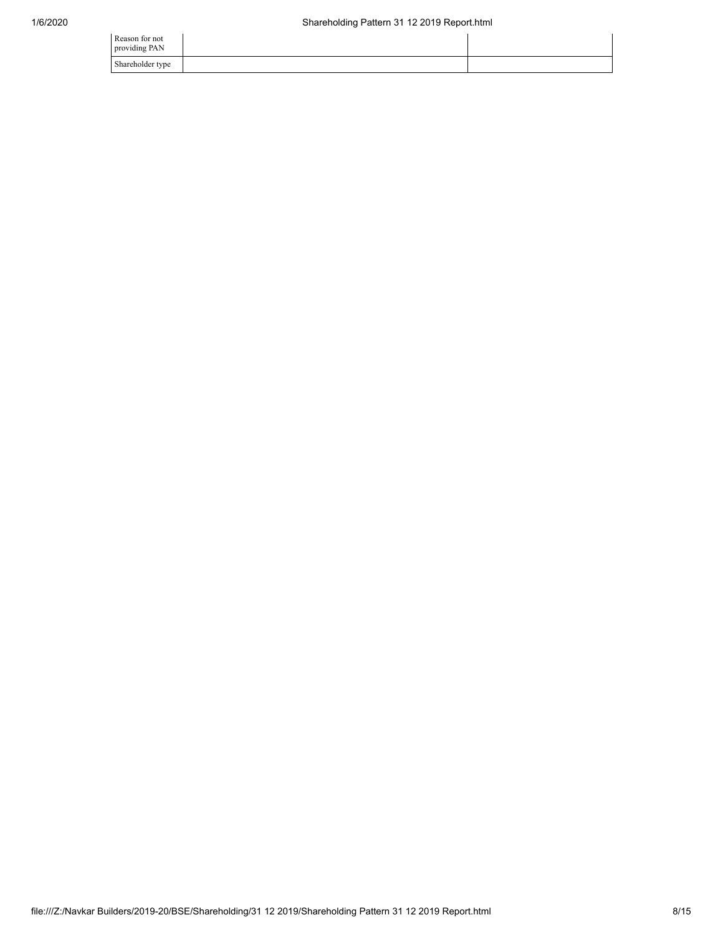| Reason for not<br>providing PAN |  |
|---------------------------------|--|
| Shareholder type                |  |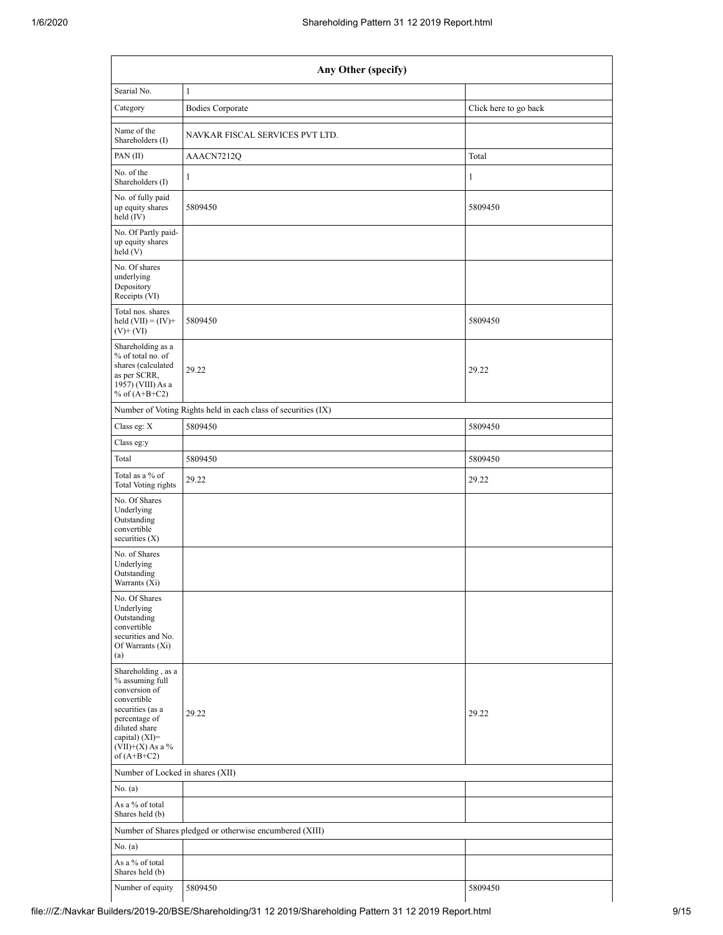| Any Other (specify)                                                                                                                                                                  |                                                               |                       |  |  |  |  |  |  |
|--------------------------------------------------------------------------------------------------------------------------------------------------------------------------------------|---------------------------------------------------------------|-----------------------|--|--|--|--|--|--|
| Searial No.                                                                                                                                                                          | $\mathbf{1}$                                                  |                       |  |  |  |  |  |  |
| Category                                                                                                                                                                             | <b>Bodies Corporate</b>                                       | Click here to go back |  |  |  |  |  |  |
| Name of the<br>Shareholders (I)                                                                                                                                                      | NAVKAR FISCAL SERVICES PVT LTD.                               |                       |  |  |  |  |  |  |
| PAN (II)                                                                                                                                                                             | AAACN7212Q                                                    | Total                 |  |  |  |  |  |  |
| No. of the<br>Shareholders (I)                                                                                                                                                       | $\mathbf{1}$                                                  | $\mathbf{1}$          |  |  |  |  |  |  |
| No. of fully paid<br>up equity shares<br>held (IV)                                                                                                                                   | 5809450                                                       | 5809450               |  |  |  |  |  |  |
| No. Of Partly paid-<br>up equity shares<br>held(V)                                                                                                                                   |                                                               |                       |  |  |  |  |  |  |
| No. Of shares<br>underlying<br>Depository<br>Receipts (VI)                                                                                                                           |                                                               |                       |  |  |  |  |  |  |
| Total nos. shares<br>held $(VII) = (IV) +$<br>$(V)$ + $(VI)$                                                                                                                         | 5809450                                                       | 5809450               |  |  |  |  |  |  |
| Shareholding as a<br>% of total no. of<br>shares (calculated<br>as per SCRR,<br>1957) (VIII) As a<br>% of $(A+B+C2)$                                                                 | 29.22                                                         | 29.22                 |  |  |  |  |  |  |
|                                                                                                                                                                                      | Number of Voting Rights held in each class of securities (IX) |                       |  |  |  |  |  |  |
| Class eg: X                                                                                                                                                                          | 5809450                                                       | 5809450               |  |  |  |  |  |  |
| Class eg:y                                                                                                                                                                           |                                                               |                       |  |  |  |  |  |  |
| Total                                                                                                                                                                                | 5809450                                                       | 5809450               |  |  |  |  |  |  |
| Total as a % of<br>Total Voting rights                                                                                                                                               | 29.22                                                         | 29.22                 |  |  |  |  |  |  |
| No. Of Shares<br>Underlying<br>Outstanding<br>convertible<br>securities (X)                                                                                                          |                                                               |                       |  |  |  |  |  |  |
| No. of Shares<br>Underlying<br>Outstanding<br>Warrants (Xi)                                                                                                                          |                                                               |                       |  |  |  |  |  |  |
| No. Of Shares<br>Underlying<br>Outstanding<br>convertible<br>securities and No.<br>Of Warrants (Xi)<br>(a)                                                                           |                                                               |                       |  |  |  |  |  |  |
| Shareholding, as a<br>% assuming full<br>conversion of<br>convertible<br>securities (as a<br>percentage of<br>diluted share<br>capital) (XI)=<br>$(VII)+(X)$ As a %<br>of $(A+B+C2)$ | 29.22                                                         | 29.22                 |  |  |  |  |  |  |
|                                                                                                                                                                                      | Number of Locked in shares (XII)                              |                       |  |  |  |  |  |  |
| No. $(a)$                                                                                                                                                                            |                                                               |                       |  |  |  |  |  |  |
| As a % of total<br>Shares held (b)                                                                                                                                                   |                                                               |                       |  |  |  |  |  |  |
|                                                                                                                                                                                      | Number of Shares pledged or otherwise encumbered (XIII)       |                       |  |  |  |  |  |  |
| No. (a)                                                                                                                                                                              |                                                               |                       |  |  |  |  |  |  |
| As a % of total<br>Shares held (b)                                                                                                                                                   |                                                               |                       |  |  |  |  |  |  |
| Number of equity                                                                                                                                                                     | 5809450                                                       | 5809450               |  |  |  |  |  |  |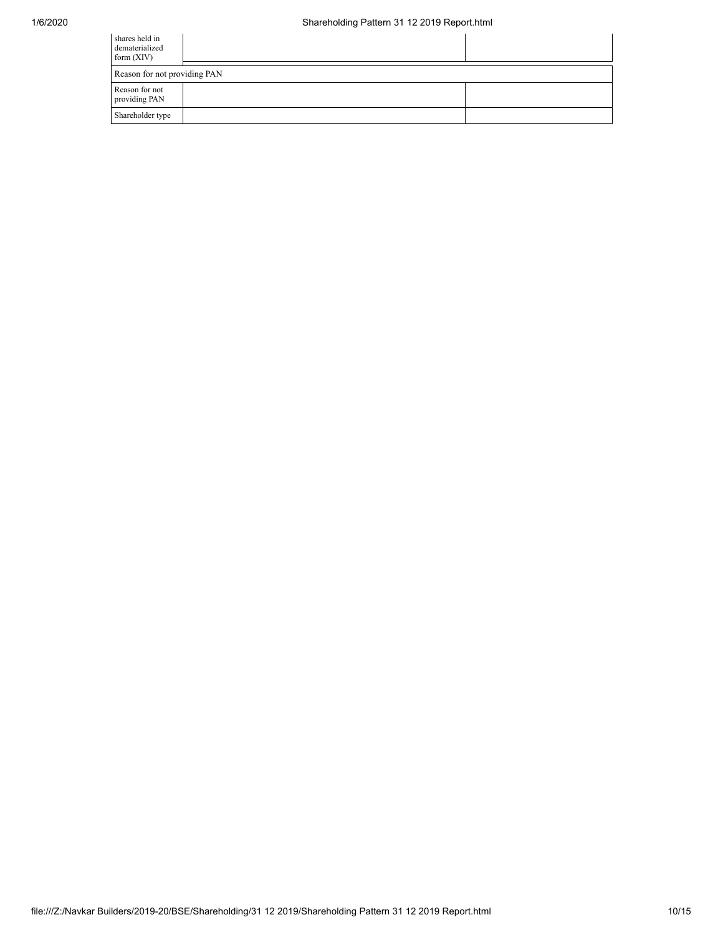## 1/6/2020 Shareholding Pattern 31 12 2019 Report.html

| shares held in<br>dematerialized<br>form $(XIV)$ |  |  |  |  |  |  |  |
|--------------------------------------------------|--|--|--|--|--|--|--|
| Reason for not providing PAN                     |  |  |  |  |  |  |  |
| Reason for not<br>providing PAN                  |  |  |  |  |  |  |  |
| Shareholder type                                 |  |  |  |  |  |  |  |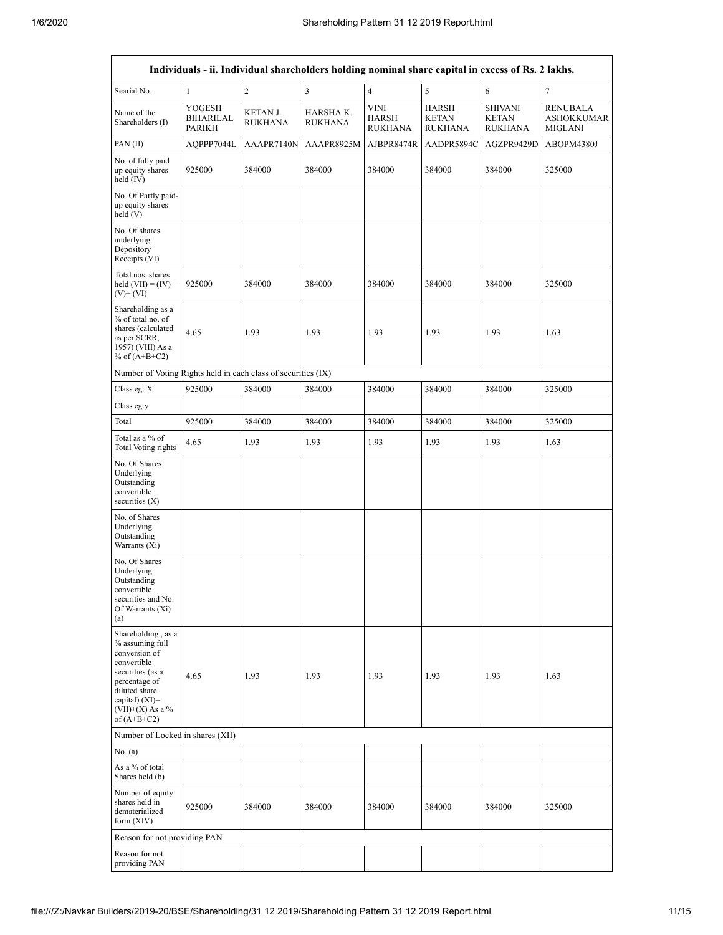$\mathsf{r}$ 

| Individuals - ii. Individual shareholders holding nominal share capital in excess of Rs. 2 lakhs.                                                                                      |                                             |                                   |                         |                                        |                                         |                                                  |                                                 |
|----------------------------------------------------------------------------------------------------------------------------------------------------------------------------------------|---------------------------------------------|-----------------------------------|-------------------------|----------------------------------------|-----------------------------------------|--------------------------------------------------|-------------------------------------------------|
| Searial No.                                                                                                                                                                            | $\mathbf{1}$                                | $\overline{2}$                    | $\overline{\mathbf{3}}$ | $\overline{4}$                         | 5                                       | 6                                                | 7                                               |
| Name of the<br>Shareholders (I)                                                                                                                                                        | YOGESH<br><b>BIHARILAL</b><br><b>PARIKH</b> | <b>KETAN J.</b><br><b>RUKHANA</b> | HARSHA K.<br>RUKHANA    | <b>VINI</b><br>HARSH<br><b>RUKHANA</b> | HARSH<br><b>KETAN</b><br><b>RUKHANA</b> | <b>SHIVANI</b><br><b>KETAN</b><br><b>RUKHANA</b> | <b>RENUBALA</b><br><b>ASHOKKUMAR</b><br>MIGLANI |
| PAN (II)                                                                                                                                                                               | AQPPP7044L                                  | AAAPR7140N                        | AAAPR8925M              | AJBPR8474R                             | AADPR5894C                              | AGZPR9429D                                       | ABOPM4380J                                      |
| No. of fully paid<br>up equity shares<br>held (IV)                                                                                                                                     | 925000                                      | 384000                            | 384000                  | 384000                                 | 384000                                  | 384000                                           | 325000                                          |
| No. Of Partly paid-<br>up equity shares<br>held (V)                                                                                                                                    |                                             |                                   |                         |                                        |                                         |                                                  |                                                 |
| No. Of shares<br>underlying<br>Depository<br>Receipts (VI)                                                                                                                             |                                             |                                   |                         |                                        |                                         |                                                  |                                                 |
| Total nos. shares<br>held $(VII) = (IV) +$<br>$(V)$ + $(VI)$                                                                                                                           | 925000                                      | 384000                            | 384000                  | 384000                                 | 384000                                  | 384000                                           | 325000                                          |
| Shareholding as a<br>% of total no. of<br>shares (calculated<br>as per SCRR,<br>1957) (VIII) As a<br>% of $(A+B+C2)$                                                                   | 4.65                                        | 1.93                              | 1.93                    | 1.93                                   | 1.93                                    | 1.93                                             | 1.63                                            |
| Number of Voting Rights held in each class of securities (IX)                                                                                                                          |                                             |                                   |                         |                                        |                                         |                                                  |                                                 |
| Class eg: X                                                                                                                                                                            | 925000                                      | 384000                            | 384000                  | 384000                                 | 384000                                  | 384000                                           | 325000                                          |
| Class eg:y                                                                                                                                                                             |                                             |                                   |                         |                                        |                                         |                                                  |                                                 |
| Total                                                                                                                                                                                  | 925000                                      | 384000                            | 384000                  | 384000                                 | 384000                                  | 384000                                           | 325000                                          |
| Total as a % of<br><b>Total Voting rights</b>                                                                                                                                          | 4.65                                        | 1.93                              | 1.93                    | 1.93                                   | 1.93                                    | 1.93                                             | 1.63                                            |
| No. Of Shares<br>Underlying<br>Outstanding<br>convertible<br>securities (X)                                                                                                            |                                             |                                   |                         |                                        |                                         |                                                  |                                                 |
| No. of Shares<br>Underlying<br>Outstanding<br>Warrants (Xi)                                                                                                                            |                                             |                                   |                         |                                        |                                         |                                                  |                                                 |
| No. Of Shares<br>Underlying<br>Outstanding<br>convertible<br>securities and No.<br>Of Warrants (Xi)<br>(a)                                                                             |                                             |                                   |                         |                                        |                                         |                                                  |                                                 |
| Shareholding, as a<br>% assuming full<br>conversion of<br>convertible<br>securities (as a<br>percentage of<br>diluted share<br>capital) $(XI)=$<br>$(VII)+(X)$ As a %<br>of $(A+B+C2)$ | 4.65                                        | 1.93                              | 1.93                    | 1.93                                   | 1.93                                    | 1.93                                             | 1.63                                            |
| Number of Locked in shares (XII)                                                                                                                                                       |                                             |                                   |                         |                                        |                                         |                                                  |                                                 |
| No. (a)                                                                                                                                                                                |                                             |                                   |                         |                                        |                                         |                                                  |                                                 |
| As a % of total<br>Shares held (b)                                                                                                                                                     |                                             |                                   |                         |                                        |                                         |                                                  |                                                 |
| Number of equity<br>shares held in<br>dematerialized<br>form (XIV)                                                                                                                     | 925000                                      | 384000                            | 384000                  | 384000                                 | 384000                                  | 384000                                           | 325000                                          |
| Reason for not providing PAN                                                                                                                                                           |                                             |                                   |                         |                                        |                                         |                                                  |                                                 |
| Reason for not<br>providing PAN                                                                                                                                                        |                                             |                                   |                         |                                        |                                         |                                                  |                                                 |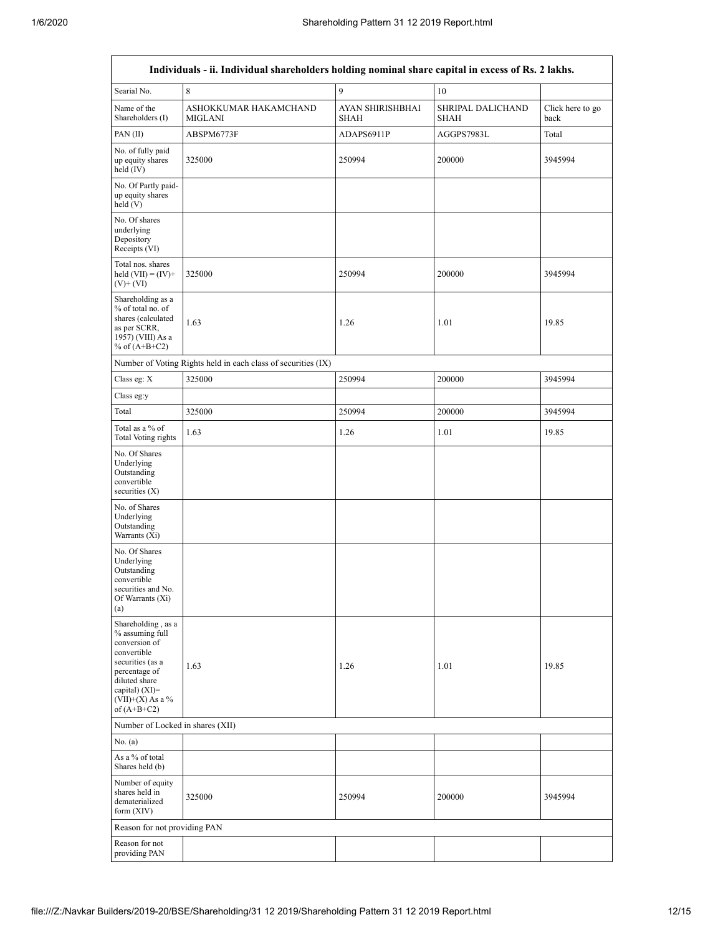| Individuals - ii. Individual shareholders holding nominal share capital in excess of Rs. 2 lakhs.                                                                                      |                                                               |                                 |                                  |                          |  |  |  |  |  |
|----------------------------------------------------------------------------------------------------------------------------------------------------------------------------------------|---------------------------------------------------------------|---------------------------------|----------------------------------|--------------------------|--|--|--|--|--|
| Searial No.                                                                                                                                                                            | 8                                                             | $\mathbf{Q}$                    | 10                               |                          |  |  |  |  |  |
| Name of the<br>Shareholders (I)                                                                                                                                                        | ASHOKKUMAR HAKAMCHAND<br><b>MIGLANI</b>                       | AYAN SHIRISHBHAI<br><b>SHAH</b> | SHRIPAL DALICHAND<br><b>SHAH</b> | Click here to go<br>back |  |  |  |  |  |
| PAN (II)                                                                                                                                                                               | ABSPM6773F                                                    | ADAPS6911P                      | AGGPS7983L                       | Total                    |  |  |  |  |  |
| No. of fully paid<br>up equity shares<br>held $(IV)$                                                                                                                                   | 325000                                                        | 250994                          | 200000                           | 3945994                  |  |  |  |  |  |
| No. Of Partly paid-<br>up equity shares<br>held(V)                                                                                                                                     |                                                               |                                 |                                  |                          |  |  |  |  |  |
| No. Of shares<br>underlying<br>Depository<br>Receipts (VI)                                                                                                                             |                                                               |                                 |                                  |                          |  |  |  |  |  |
| Total nos. shares<br>held $(VII) = (IV) +$<br>$(V)$ + $(VI)$                                                                                                                           | 325000                                                        | 250994                          | 200000                           | 3945994                  |  |  |  |  |  |
| Shareholding as a<br>% of total no. of<br>shares (calculated<br>as per SCRR,<br>1957) (VIII) As a<br>% of $(A+B+C2)$                                                                   | 1.63                                                          | 1.26                            | 1.01                             | 19.85                    |  |  |  |  |  |
|                                                                                                                                                                                        | Number of Voting Rights held in each class of securities (IX) |                                 |                                  |                          |  |  |  |  |  |
| Class eg: X                                                                                                                                                                            | 325000                                                        | 250994                          | 200000                           | 3945994                  |  |  |  |  |  |
| Class eg:y                                                                                                                                                                             |                                                               |                                 |                                  |                          |  |  |  |  |  |
| Total                                                                                                                                                                                  | 325000                                                        | 250994                          | 200000                           | 3945994                  |  |  |  |  |  |
| Total as a % of<br><b>Total Voting rights</b>                                                                                                                                          | 1.63                                                          | 1.26                            | 1.01                             | 19.85                    |  |  |  |  |  |
| No. Of Shares<br>Underlying<br>Outstanding<br>convertible<br>securities $(X)$                                                                                                          |                                                               |                                 |                                  |                          |  |  |  |  |  |
| No. of Shares<br>Underlying<br>Outstanding<br>Warrants (Xi)                                                                                                                            |                                                               |                                 |                                  |                          |  |  |  |  |  |
| No. Of Shares<br>Underlying<br>Outstanding<br>convertible<br>securities and No.<br>Of Warrants (Xi)<br>(a)                                                                             |                                                               |                                 |                                  |                          |  |  |  |  |  |
| Shareholding, as a<br>% assuming full<br>conversion of<br>convertible<br>securities (as a<br>percentage of<br>diluted share<br>capital) $(XI)=$<br>$(VII)+(X)$ As a %<br>of $(A+B+C2)$ | 1.63                                                          | 1.26                            | 1.01                             | 19.85                    |  |  |  |  |  |
| Number of Locked in shares (XII)                                                                                                                                                       |                                                               |                                 |                                  |                          |  |  |  |  |  |
| No. $(a)$                                                                                                                                                                              |                                                               |                                 |                                  |                          |  |  |  |  |  |
| As a % of total<br>Shares held (b)                                                                                                                                                     |                                                               |                                 |                                  |                          |  |  |  |  |  |
| Number of equity<br>shares held in<br>dematerialized<br>form $(XIV)$                                                                                                                   | 325000                                                        | 250994                          | 200000                           | 3945994                  |  |  |  |  |  |
| Reason for not providing PAN                                                                                                                                                           |                                                               |                                 |                                  |                          |  |  |  |  |  |
| Reason for not<br>providing PAN                                                                                                                                                        |                                                               |                                 |                                  |                          |  |  |  |  |  |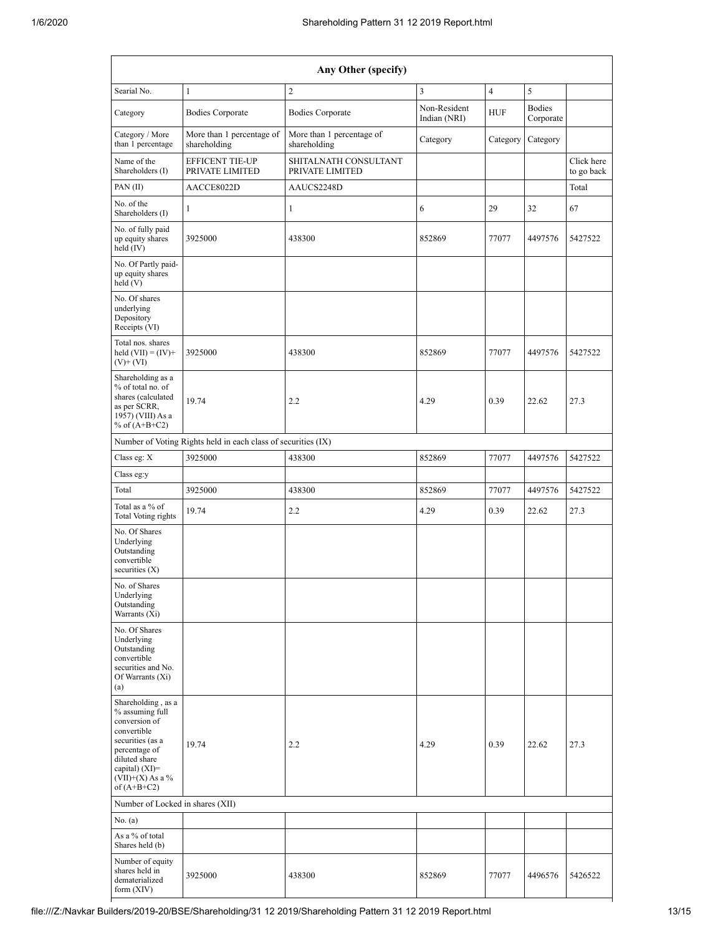| Any Other (specify)                                                                                                                                                                           |                                                               |                                           |                              |                |                            |                          |  |  |  |  |
|-----------------------------------------------------------------------------------------------------------------------------------------------------------------------------------------------|---------------------------------------------------------------|-------------------------------------------|------------------------------|----------------|----------------------------|--------------------------|--|--|--|--|
| Searial No.                                                                                                                                                                                   | 1                                                             | $\overline{c}$                            | 3                            | $\overline{4}$ | 5                          |                          |  |  |  |  |
| Category                                                                                                                                                                                      | <b>Bodies Corporate</b>                                       | <b>Bodies Corporate</b>                   | Non-Resident<br>Indian (NRI) | <b>HUF</b>     | <b>Bodies</b><br>Corporate |                          |  |  |  |  |
| Category / More<br>than 1 percentage                                                                                                                                                          | More than 1 percentage of<br>shareholding                     | More than 1 percentage of<br>shareholding | Category                     | Category       | Category                   |                          |  |  |  |  |
| Name of the<br>Shareholders (I)                                                                                                                                                               | <b>EFFICENT TIE-UP</b><br>PRIVATE LIMITED                     | SHITALNATH CONSULTANT<br>PRIVATE LIMITED  |                              |                |                            | Click here<br>to go back |  |  |  |  |
| PAN(II)                                                                                                                                                                                       | AACCE8022D                                                    | AAUCS2248D                                |                              |                |                            | Total                    |  |  |  |  |
| No. of the<br>Shareholders (I)                                                                                                                                                                | 1                                                             | 1                                         | 6                            | 29             | 32                         | 67                       |  |  |  |  |
| No. of fully paid<br>up equity shares<br>held (IV)                                                                                                                                            | 3925000                                                       | 438300                                    | 852869                       | 77077          | 4497576                    | 5427522                  |  |  |  |  |
| No. Of Partly paid-<br>up equity shares<br>held(V)                                                                                                                                            |                                                               |                                           |                              |                |                            |                          |  |  |  |  |
| No. Of shares<br>underlying<br>Depository<br>Receipts (VI)                                                                                                                                    |                                                               |                                           |                              |                |                            |                          |  |  |  |  |
| Total nos. shares<br>held $(VII) = (IV) +$<br>$(V)$ + $(VI)$                                                                                                                                  | 3925000                                                       | 438300                                    | 852869                       | 77077          | 4497576                    | 5427522                  |  |  |  |  |
| Shareholding as a<br>% of total no. of<br>shares (calculated<br>19.74<br>as per SCRR,<br>1957) (VIII) As a<br>% of $(A+B+C2)$                                                                 |                                                               | 2.2                                       | 4.29                         |                |                            | 27.3                     |  |  |  |  |
|                                                                                                                                                                                               | Number of Voting Rights held in each class of securities (IX) |                                           |                              |                |                            |                          |  |  |  |  |
| Class eg: X                                                                                                                                                                                   | 3925000                                                       | 438300                                    | 852869                       | 77077          | 4497576                    | 5427522                  |  |  |  |  |
| Class eg:y                                                                                                                                                                                    |                                                               |                                           |                              |                |                            |                          |  |  |  |  |
| Total<br>3925000                                                                                                                                                                              |                                                               | 438300                                    | 852869<br>77077              |                | 4497576                    | 5427522                  |  |  |  |  |
| Total as a % of<br>19.74<br><b>Total Voting rights</b>                                                                                                                                        |                                                               | 2.2                                       | 4.29                         | 0.39           | 22.62                      | 27.3                     |  |  |  |  |
| No. Of Shares<br>Underlying<br>Outstanding<br>convertible<br>securities $(X)$                                                                                                                 |                                                               |                                           |                              |                |                            |                          |  |  |  |  |
| No. of Shares<br>Underlying<br>Outstanding<br>Warrants (Xi)                                                                                                                                   |                                                               |                                           |                              |                |                            |                          |  |  |  |  |
| No. Of Shares<br>Underlying<br>Outstanding<br>convertible<br>securities and No.<br>Of Warrants (Xi)<br>(a)                                                                                    |                                                               |                                           |                              |                |                            |                          |  |  |  |  |
| Shareholding, as a<br>% assuming full<br>conversion of<br>convertible<br>securities (as a<br>19.74<br>percentage of<br>diluted share<br>capital) (XI)=<br>$(VII)+(X)$ As a %<br>of $(A+B+C2)$ |                                                               | 2.2                                       | 4.29                         | 0.39           | 22.62                      | 27.3                     |  |  |  |  |
| Number of Locked in shares (XII)                                                                                                                                                              |                                                               |                                           |                              |                |                            |                          |  |  |  |  |
| No. $(a)$                                                                                                                                                                                     |                                                               |                                           |                              |                |                            |                          |  |  |  |  |
| As a % of total<br>Shares held (b)                                                                                                                                                            |                                                               |                                           |                              |                |                            |                          |  |  |  |  |
| Number of equity<br>shares held in<br>3925000<br>dematerialized<br>form $(XIV)$                                                                                                               |                                                               | 438300                                    | 77077<br>852869              |                | 4496576                    | 5426522                  |  |  |  |  |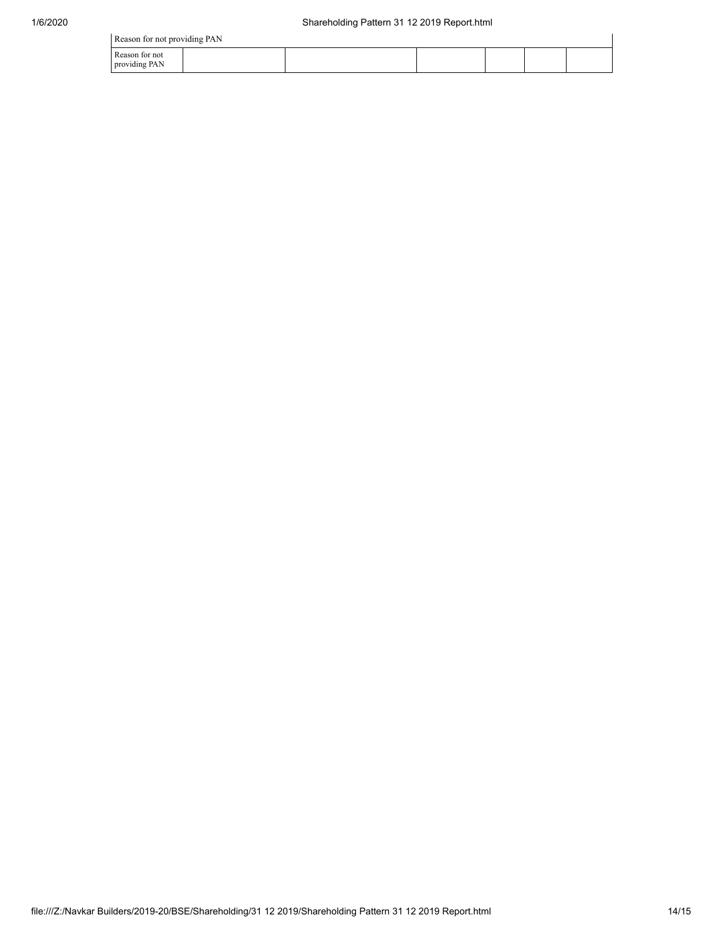Reason for not providing PAN

| Reason for not providing PAN    |  |  |  |  |  |  |  |  |  |
|---------------------------------|--|--|--|--|--|--|--|--|--|
| Reason for not<br>providing PAN |  |  |  |  |  |  |  |  |  |